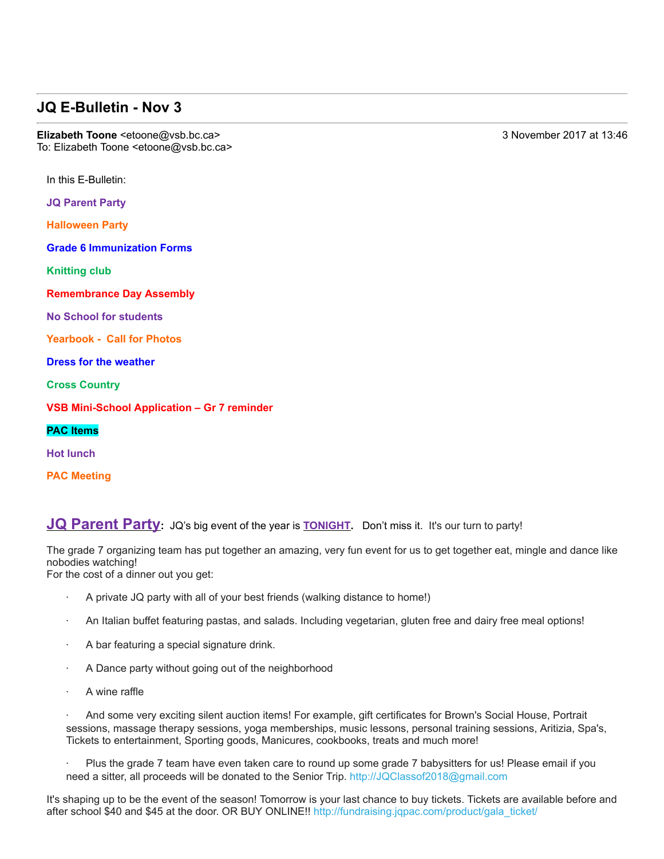## **JQ E-Bulletin - Nov 3**

**Elizabeth Toone** <etoone@vsb.bc.ca> 3 November 2017 at 13:46 To: Elizabeth Toone <etoone@vsb.bc.ca>

In this E-Bulletin:

**JQ Parent Party**

**Halloween Party**

**Grade 6 Immunization Forms**

**Knitting club**

**Remembrance Day Assembly**

**No School for students**

**Yearbook - Call for Photos** 

**Dress for the weather**

**Cross Country**

**VSB Mini-School Application – Gr 7 reminder** 

**PAC Items**

**Hot lunch**

**PAC Meeting**

**JQ Parent Party**: JQ's big event of the year is **TONIGHT**. Don't miss it. It's our turn to party!

The grade 7 organizing team has put together an amazing, very fun event for us to get together eat, mingle and dance like nobodies watching!

For the cost of a dinner out you get:

- · A private JQ party with all of your best friends (walking distance to home!)
- · An Italian buffet featuring pastas, and salads. Including vegetarian, gluten free and dairy free meal options!
- · A bar featuring a special signature drink.
- · A Dance party without going out of the neighborhood
- A wine raffle

· And some very exciting silent auction items! For example, gift certificates for Brown's Social House, Portrait sessions, massage therapy sessions, yoga memberships, music lessons, personal training sessions, Aritizia, Spa's, Tickets to entertainment, Sporting goods, Manicures, cookbooks, treats and much more!

· Plus the grade 7 team have even taken care to round up some grade 7 babysitters for us! Please email if you need a sitter, all proceeds will be donated to the Senior Trip. http://JQClassof2018@gmail.com

It's shaping up to be the event of the season! Tomorrow is your last chance to buy tickets. Tickets are available before and after school \$40 and \$45 at the door. OR BUY ONLINE!! http://fundraising.jqpac.com/product/gala\_ticket/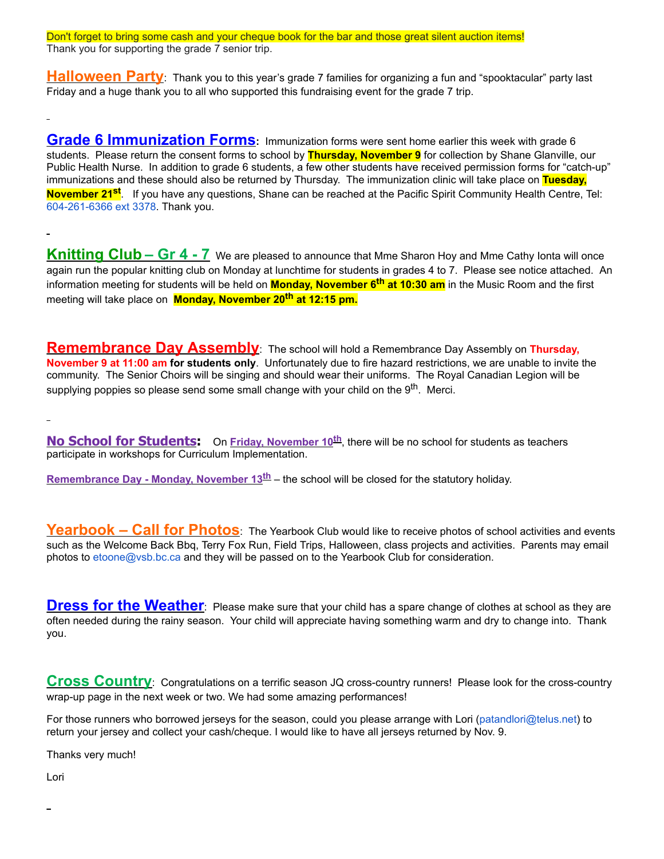Don't forget to bring some cash and your cheque book for the bar and those great silent auction items! Thank you for supporting the grade 7 senior trip.

**Halloween Party**: Thank you to this year's grade 7 families for organizing a fun and "spooktacular" party last Friday and a huge thank you to all who supported this fundraising event for the grade 7 trip.

**Grade 6 Immunization Forms:** Immunization forms were sent home earlier this week with grade 6 students. Please return the consent forms to school by **Thursday, November 9** for collection by Shane Glanville, our Public Health Nurse. In addition to grade 6 students, a few other students have received permission forms for "catch-up" immunizations and these should also be returned by Thursday. The immunization clinic will take place on **Tuesday, November 21st** . If you have any questions, Shane can be reached at the Pacific Spirit Community Health Centre, Tel: 6042616366 ext 3378. Thank you.

**Knitting Club – Gr 4 7** We are pleased to announce that Mme Sharon Hoy and Mme Cathy Ionta will once again run the popular knitting club on Monday at lunchtime for students in grades 4 to 7. Please see notice attached. An information meeting for students will be held on **Monday, November 6th at 10:30 am** in the Music Room and the first meeting will take place on **Monday, November 20th at 12:15 pm.**

**Remembrance Day Assembly**: The school will hold a Remembrance Day Assembly on **Thursday, November 9 at 11:00 am for students only**.Unfortunately due to fire hazard restrictions, we are unable to invite the community. The Senior Choirs will be singing and should wear their uniforms. The Royal Canadian Legion will be supplying poppies so please send some small change with your child on the  $9<sup>th</sup>$ . Merci.

÷

**No School for Students:**  On **Friday, November 10th**, there will be no school for students as teachers participate in workshops for Curriculum Implementation.

**Remembrance Day - Monday, November 13<sup>th</sup>** – the school will be closed for the statutory holiday.

**Yearbook – Call for Photos**: The Yearbook Club would like to receive photos of school activities and events such as the Welcome Back Bbq, Terry Fox Run, Field Trips, Halloween, class projects and activities. Parents may email photos to etoone@vsb.bc.ca and they will be passed on to the Yearbook Club for consideration.

**Dress for the Weather**: Please make sure that your child has a spare change of clothes at school as they are often needed during the rainy season. Your child will appreciate having something warm and dry to change into. Thank you.

**Cross Country**: Congratulations on a terrific season JQ cross-country runners! Please look for the cross-country wrap-up page in the next week or two. We had some amazing performances!

For those runners who borrowed jerseys for the season, could you please arrange with Lori (patandlori@telus.net) to return your jersey and collect your cash/cheque. I would like to have all jerseys returned by Nov. 9.

Thanks very much!

Lori